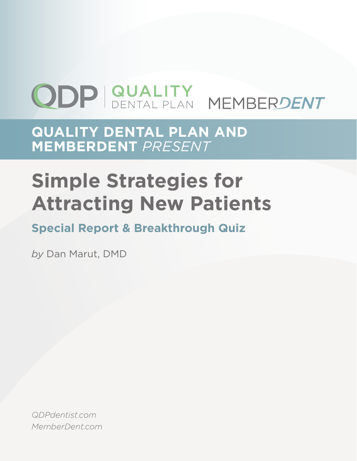# **ODP GUALITY MEMBERDENT**

**QUALITY DENTAL PLAN AND MEMBERDENT** *PRESENT*

## **Simple Strategies for Attracting New Patients**

## **Special Report & Breakthrough Quiz**

*by* Dan Marut, DMD

*QDPdentist.com MemberDent.com*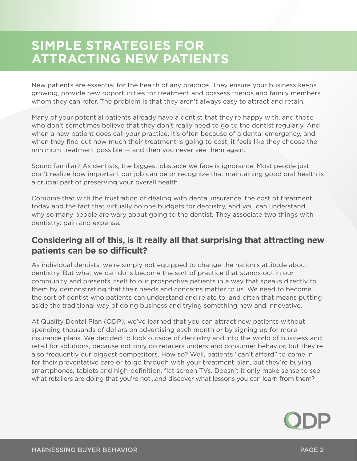## **SIMPLE STRATEGIES FOR ATTRACTING NEW PATIENTS**

New patients are essential for the health of any practice. They ensure your business keeps growing, provide new opportunities for treatment and possess friends and family members whom they can refer. The problem is that they aren't always easy to attract and retain.

Many of your potential patients already have a dentist that they're happy with, and those who don't sometimes believe that they don't really need to go to the dentist regularly. And when a new patient does call your practice, it's often because of a dental emergency, and when they find out how much their treatment is going to cost, it feels like they choose the minimum treatment possible — and then you never see them again.

Sound familiar? As dentists, the biggest obstacle we face is ignorance. Most people just don't realize how important our job can be or recognize that maintaining good oral health is a crucial part of preserving your overall health.

Combine that with the frustration of dealing with dental insurance, the cost of treatment today and the fact that virtually no one budgets for dentistry, and you can understand why so many people are wary about going to the dentist. They associate two things with dentistry: pain and expense.

#### **Considering all of this, is it really all that surprising that attracting new patients can be so difficult?**

As individual dentists, we're simply not equipped to change the nation's attitude about dentistry. But what we can do is become the sort of practice that stands out in our community and presents itself to our prospective patients in a way that speaks directly to them by demonstrating that their needs and concerns matter to us. We need to become the sort of dentist who patients can understand and relate to, and often that means putting aside the traditional way of doing business and trying something new and innovative.

At Quality Dental Plan (QDP), we've learned that you can attract new patients without spending thousands of dollars on advertising each month or by signing up for more insurance plans. We decided to look outside of dentistry and into the world of business and retail for solutions, because not only do retailers understand consumer behavior, but they're also frequently our biggest competitors. How so? Well, patients "can't afford" to come in for their preventative care or to go through with your treatment plan, but they're buying smartphones, tablets and high-definition, flat screen TVs. Doesn't it only make sense to see what retailers are doing that you're not...and discover what lessons you can learn from them?

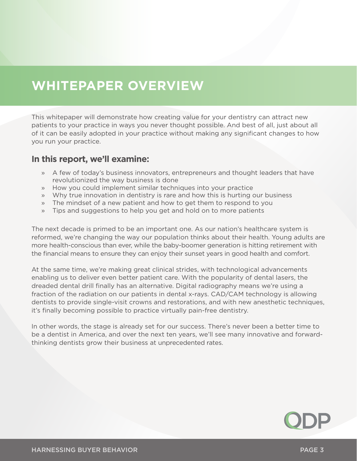## **WHITEPAPER OVERVIEW**

This whitepaper will demonstrate how creating value for your dentistry can attract new patients to your practice in ways you never thought possible. And best of all, just about all of it can be easily adopted in your practice without making any significant changes to how you run your practice.

#### **In this report, we'll examine:**

- » A few of today's business innovators, entrepreneurs and thought leaders that have revolutionized the way business is done
- » How you could implement similar techniques into your practice
- » Why true innovation in dentistry is rare and how this is hurting our business
- » The mindset of a new patient and how to get them to respond to you
- » Tips and suggestions to help you get and hold on to more patients

The next decade is primed to be an important one. As our nation's healthcare system is reformed, we're changing the way our population thinks about their health. Young adults are more health-conscious than ever, while the baby-boomer generation is hitting retirement with the financial means to ensure they can enjoy their sunset years in good health and comfort.

At the same time, we're making great clinical strides, with technological advancements enabling us to deliver even better patient care. With the popularity of dental lasers, the dreaded dental drill finally has an alternative. Digital radiography means we're using a fraction of the radiation on our patients in dental x-rays. CAD/CAM technology is allowing dentists to provide single-visit crowns and restorations, and with new anesthetic techniques, it's finally becoming possible to practice virtually pain-free dentistry.

In other words, the stage is already set for our success. There's never been a better time to be a dentist in America, and over the next ten years, we'll see many innovative and forwardthinking dentists grow their business at unprecedented rates.

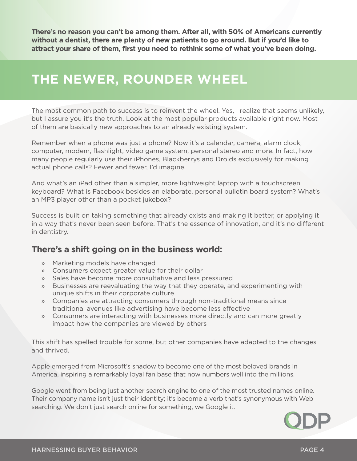**There's no reason you can't be among them. After all, with 50% of Americans currently without a dentist, there are plenty of new patients to go around. But if you'd like to attract your share of them, first you need to rethink some of what you've been doing.**

## **THE NEWER, ROUNDER WHEEL**

The most common path to success is to reinvent the wheel. Yes, I realize that seems unlikely, but I assure you it's the truth. Look at the most popular products available right now. Most of them are basically new approaches to an already existing system.

Remember when a phone was just a phone? Now it's a calendar, camera, alarm clock, computer, modem, flashlight, video game system, personal stereo and more. In fact, how many people regularly use their iPhones, Blackberrys and Droids exclusively for making actual phone calls? Fewer and fewer, I'd imagine.

And what's an iPad other than a simpler, more lightweight laptop with a touchscreen keyboard? What is Facebook besides an elaborate, personal bulletin board system? What's an MP3 player other than a pocket jukebox?

Success is built on taking something that already exists and making it better, or applying it in a way that's never been seen before. That's the essence of innovation, and it's no different in dentistry.

#### **There's a shift going on in the business world:**

- » Marketing models have changed
- » Consumers expect greater value for their dollar
- » Sales have become more consultative and less pressured
- » Businesses are reevaluating the way that they operate, and experimenting with unique shifts in their corporate culture
- » Companies are attracting consumers through non-traditional means since traditional avenues like advertising have become less effective
- » Consumers are interacting with businesses more directly and can more greatly impact how the companies are viewed by others

This shift has spelled trouble for some, but other companies have adapted to the changes and thrived.

Apple emerged from Microsoft's shadow to become one of the most beloved brands in America, inspiring a remarkably loyal fan base that now numbers well into the millions.

Google went from being just another search engine to one of the most trusted names online. Their company name isn't just their identity; it's become a verb that's synonymous with Web searching. We don't just search online for something, we Google it.

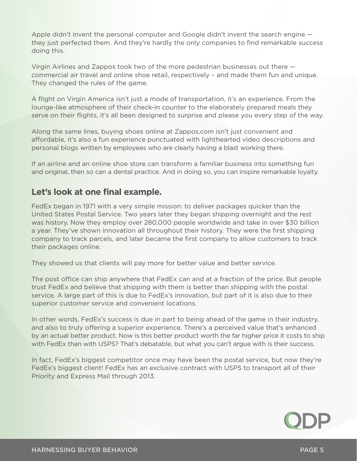Apple didn't invent the personal computer and Google didn't invent the search engine they just perfected them. And they're hardly the only companies to find remarkable success doing this.

Virgin Airlines and Zappos took two of the more pedestrian businesses out there commercial air travel and online shoe retail, respectively – and made them fun and unique. They changed the rules of the game.

A flight on Virgin America isn't just a mode of transportation, it's an experience. From the lounge-like atmosphere of their check-in counter to the elaborately prepared meals they serve on their flights, it's all been designed to surprise and please you every step of the way.

Along the same lines, buying shoes online at Zappos.com isn't just convenient and affordable, it's also a fun experience punctuated with lighthearted video descriptions and personal blogs written by employees who are clearly having a blast working there.

If an airline and an online shoe store can transform a familiar business into something fun and original, then so can a dental practice. And in doing so, you can inspire remarkable loyalty.

#### **Let's look at one final example.**

FedEx began in 1971 with a very simple mission: to deliver packages quicker than the United States Postal Service. Two years later they began shipping overnight and the rest was history. Now they employ over 280,000 people worldwide and take in over \$30 billion a year. They've shown innovation all throughout their history. They were the first shipping company to track parcels, and later became the first company to allow customers to track their packages online.

They showed us that clients will pay more for better value and better service.

The post office can ship anywhere that FedEx can and at a fraction of the price. But people trust FedEx and believe that shipping with them is better than shipping with the postal service. A large part of this is due to FedEx's innovation, but part of it is also due to their superior customer service and convenient locations.

In other words, FedEx's success is due in part to being ahead of the game in their industry, and also to truly offering a superior experience. There's a perceived value that's enhanced by an actual better product. Now is this better product worth the far higher price it costs to ship with FedEx than with USPS? That's debatable, but what you can't argue with is their success.

In fact, FedEx's biggest competitor once may have been the postal service, but now they're FedEx's biggest client! FedEx has an exclusive contract with USPS to transport all of their Priority and Express Mail through 2013.

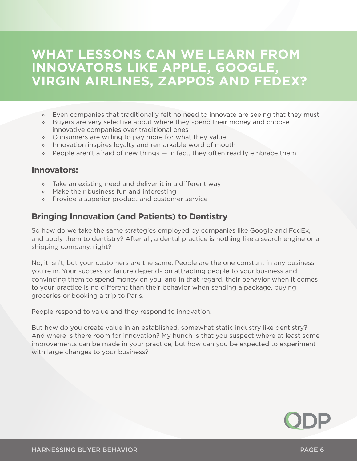## **WHAT LESSONS CAN WE LEARN FROM INNOVATORS LIKE APPLE, GOOGLE, VIRGIN AIRLINES, ZAPPOS AND FEDEX?**

- » Even companies that traditionally felt no need to innovate are seeing that they must
- » Buyers are very selective about where they spend their money and choose innovative companies over traditional ones
- » Consumers are willing to pay more for what they value
- » Innovation inspires loyalty and remarkable word of mouth
- » People aren't afraid of new things in fact, they often readily embrace them

#### **Innovators:**

- » Take an existing need and deliver it in a different way
- » Make their business fun and interesting
- » Provide a superior product and customer service

#### **Bringing Innovation (and Patients) to Dentistry**

So how do we take the same strategies employed by companies like Google and FedEx, and apply them to dentistry? After all, a dental practice is nothing like a search engine or a shipping company, right?

No, it isn't, but your customers are the same. People are the one constant in any business you're in. Your success or failure depends on attracting people to your business and convincing them to spend money on you, and in that regard, their behavior when it comes to your practice is no different than their behavior when sending a package, buying groceries or booking a trip to Paris.

People respond to value and they respond to innovation.

But how do you create value in an established, somewhat static industry like dentistry? And where is there room for innovation? My hunch is that you suspect where at least some improvements can be made in your practice, but how can you be expected to experiment with large changes to your business?

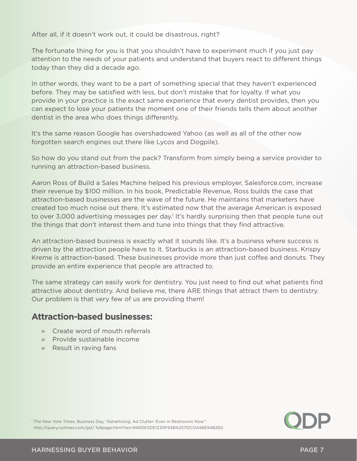After all, if it doesn't work out, it could be disastrous, right?

The fortunate thing for you is that you shouldn't have to experiment much if you just pay attention to the needs of your patients and understand that buyers react to different things today than they did a decade ago.

In other words, they want to be a part of something special that they haven't experienced before. They may be satisfied with less, but don't mistake that for loyalty. If what you provide in your practice is the exact same experience that every dentist provides, then you can expect to lose your patients the moment one of their friends tells them about another dentist in the area who does things differently.

It's the same reason Google has overshadowed Yahoo (as well as all of the other now forgotten search engines out there like Lycos and Dogpile).

So how do you stand out from the pack? Transform from simply being a service provider to running an attraction-based business.

Aaron Ross of Build a Sales Machine helped his previous employer, Salesforce.com, increase their revenue by \$100 million. In his book, Predictable Revenue, Ross builds the case that attraction-based businesses are the wave of the future. He maintains that marketers have created too much noise out there. It's estimated now that the average American is exposed to over 3,000 advertising messages per day.<sup>1</sup> It's hardly surprising then that people tune out the things that don't interest them and tune into things that they find attractive.

An attraction-based business is exactly what it sounds like. It's a business where success is driven by the attraction people have to it. Starbucks is an attraction-based business. Krispy Kreme is attraction-based. These businesses provide more than just coffee and donuts. They provide an entire experience that people are attracted to.

The same strategy can easily work for dentistry. You just need to find out what patients find attractive about dentistry. And believe me, there ARE things that attract them to dentistry. Our problem is that very few of us are providing them!

#### **Attraction-based businesses:**

- » Create word of mouth referrals
- » Provide sustainable income
- » Result in raving fans



<sup>1</sup> The New York Times, Business Day, "Advertising; Ad Clutter: Even in Restrooms Now": http://query.nytimes.com/gst/ fullpage.html?res=940DE5DE1230F93BA25751C0A96E948260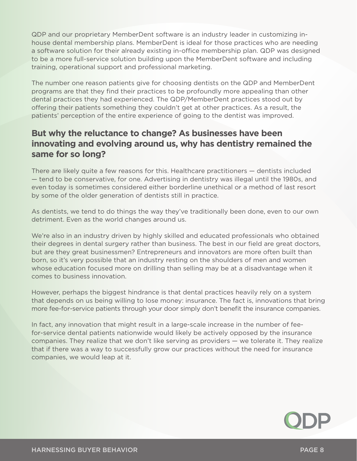QDP and our proprietary MemberDent software is an industry leader in customizing inhouse dental membership plans. MemberDent is ideal for those practices who are needing a software solution for their already existing in-office membership plan. QDP was designed to be a more full-service solution building upon the MemberDent software and including training, operational support and professional marketing.

The number one reason patients give for choosing dentists on the QDP and MemberDent programs are that they find their practices to be profoundly more appealing than other dental practices they had experienced. The QDP/MemberDent practices stood out by offering their patients something they couldn't get at other practices. As a result, the patients' perception of the entire experience of going to the dentist was improved.

#### **But why the reluctance to change? As businesses have been innovating and evolving around us, why has dentistry remained the same for so long?**

There are likely quite a few reasons for this. Healthcare practitioners — dentists included — tend to be conservative, for one. Advertising in dentistry was illegal until the 1980s, and even today is sometimes considered either borderline unethical or a method of last resort by some of the older generation of dentists still in practice.

As dentists, we tend to do things the way they've traditionally been done, even to our own detriment. Even as the world changes around us.

We're also in an industry driven by highly skilled and educated professionals who obtained their degrees in dental surgery rather than business. The best in our field are great doctors, but are they great businessmen? Entrepreneurs and innovators are more often built than born, so it's very possible that an industry resting on the shoulders of men and women whose education focused more on drilling than selling may be at a disadvantage when it comes to business innovation.

However, perhaps the biggest hindrance is that dental practices heavily rely on a system that depends on us being willing to lose money: insurance. The fact is, innovations that bring more fee-for-service patients through your door simply don't benefit the insurance companies.

In fact, any innovation that might result in a large-scale increase in the number of feefor-service dental patients nationwide would likely be actively opposed by the insurance companies. They realize that we don't like serving as providers — we tolerate it. They realize that if there was a way to successfully grow our practices without the need for insurance companies, we would leap at it.

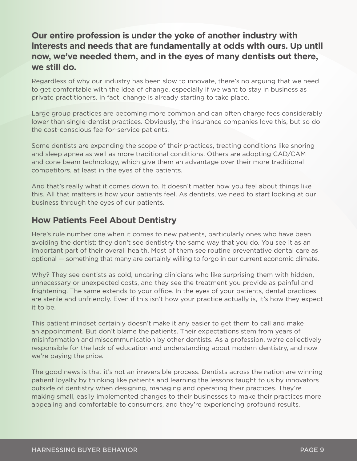#### **Our entire profession is under the yoke of another industry with interests and needs that are fundamentally at odds with ours. Up until now, we've needed them, and in the eyes of many dentists out there, we still do.**

Regardless of why our industry has been slow to innovate, there's no arguing that we need to get comfortable with the idea of change, especially if we want to stay in business as private practitioners. In fact, change is already starting to take place.

Large group practices are becoming more common and can often charge fees considerably lower than single-dentist practices. Obviously, the insurance companies love this, but so do the cost-conscious fee-for-service patients.

Some dentists are expanding the scope of their practices, treating conditions like snoring and sleep apnea as well as more traditional conditions. Others are adopting CAD/CAM and cone beam technology, which give them an advantage over their more traditional competitors, at least in the eyes of the patients.

And that's really what it comes down to. It doesn't matter how you feel about things like this. All that matters is how your patients feel. As dentists, we need to start looking at our business through the eyes of our patients.

#### **How Patients Feel About Dentistry**

Here's rule number one when it comes to new patients, particularly ones who have been avoiding the dentist: they don't see dentistry the same way that you do. You see it as an important part of their overall health. Most of them see routine preventative dental care as optional — something that many are certainly willing to forgo in our current economic climate.

Why? They see dentists as cold, uncaring clinicians who like surprising them with hidden, unnecessary or unexpected costs, and they see the treatment you provide as painful and frightening. The same extends to your office. In the eyes of your patients, dental practices are sterile and unfriendly. Even if this isn't how your practice actually is, it's how they expect it to be.

This patient mindset certainly doesn't make it any easier to get them to call and make an appointment. But don't blame the patients. Their expectations stem from years of misinformation and miscommunication by other dentists. As a profession, we're collectively responsible for the lack of education and understanding about modern dentistry, and now we're paying the price.

The good news is that it's not an irreversible process. Dentists across the nation are winning patient loyalty by thinking like patients and learning the lessons taught to us by innovators outside of dentistry when designing, managing and operating their practices. They're making small, easily implemented changes to their businesses to make their practices more appealing and comfortable to consumers, and they're experiencing profound results.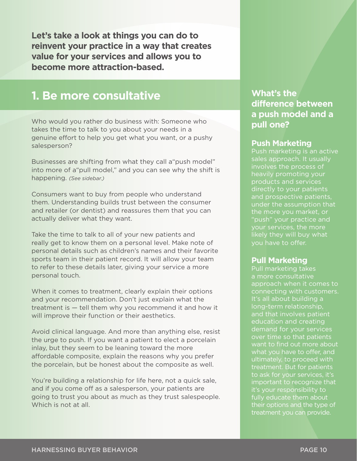**Let's take a look at things you can do to reinvent your practice in a way that creates value for your services and allows you to become more attraction-based.**

#### **1. Be more consultative**

Who would you rather do business with: Someone who takes the time to talk to you about your needs in a genuine effort to help you get what you want, or a pushy salesperson?

Businesses are shifting from what they call a"push model" into more of a"pull model," and you can see why the shift is happening. *(See sidebar.)*

Consumers want to buy from people who understand them. Understanding builds trust between the consumer and retailer (or dentist) and reassures them that you can actually deliver what they want.

Take the time to talk to all of your new patients and really get to know them on a personal level. Make note of personal details such as children's names and their favorite sports team in their patient record. It will allow your team to refer to these details later, giving your service a more personal touch.

When it comes to treatment, clearly explain their options and your recommendation. Don't just explain what the treatment is — tell them why you recommend it and how it will improve their function or their aesthetics.

Avoid clinical language. And more than anything else, resist the urge to push. If you want a patient to elect a porcelain inlay, but they seem to be leaning toward the more affordable composite, explain the reasons why you prefer the porcelain, but be honest about the composite as well.

You're building a relationship for life here, not a quick sale, and if you come off as a salesperson, your patients are going to trust you about as much as they trust salespeople. Which is not at all.

#### **What's the difference between a push model and a pull one?**

#### **Push Marketing**

Push marketing is an active sales approach. It usually involves the process of heavily promoting your products and services directly to your patients and prospective patients, under the assumption that the more you market, or "push" your practice and likely they will buy what you have to offer.

#### **Pull Marketing**

Pull marketing takes a more consultative approach when it comes to connecting with customers. It's all about building a long-term relationship, and that involves patient education and creating demand for your services over time so that patients want to find out more about what you have to offer, and ultimately, to proceed with treatment. But for patients to ask for your services, it's important to recognize that it's your responsibility to fully educate them about their options and the type of treatment you can provide.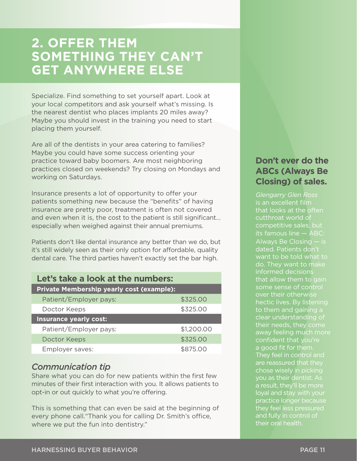## **2. OFFER THEM SOMETHING THEY CAN'T GET ANYWHERE ELSE**

Specialize. Find something to set yourself apart. Look at your local competitors and ask yourself what's missing. Is the nearest dentist who places implants 20 miles away? Maybe you should invest in the training you need to start placing them yourself.

Are all of the dentists in your area catering to families? Maybe you could have some success orienting your practice toward baby boomers. Are most neighboring practices closed on weekends? Try closing on Mondays and working on Saturdays.

Insurance presents a lot of opportunity to offer your patients something new because the "benefits" of having insurance are pretty poor, treatment is often not covered and even when it is, the cost to the patient is still significant… especially when weighed against their annual premiums.

Patients don't like dental insurance any better than we do, but it's still widely seen as their only option for affordable, quality dental care. The third parties haven't exactly set the bar high.

| Let's take a look at the numbers:         |            |  |  |  |
|-------------------------------------------|------------|--|--|--|
| Private Membership yearly cost (example): |            |  |  |  |
| Patient/Employer pays:                    | \$325.00   |  |  |  |
| Doctor Keeps                              | \$325.00   |  |  |  |
| <b>Insurance yearly cost:</b>             |            |  |  |  |
| Patient/Employer pays:                    | \$1,200.00 |  |  |  |
| Doctor Keeps                              | \$325.00   |  |  |  |
| Employer saves:                           | \$875.00   |  |  |  |

#### *Communication tip*

Share what you can do for new patients within the first few minutes of their first interaction with you. It allows patients to opt-in or out quickly to what you're offering.

 $12$  http://www.usatoday.com/money/workplace/2009-04-06-employers-cut-workplace/2009-04-06-employers-cut-worker-benefits-cut-worker-benefits-cut-worker-benefits-cut-worker-benefits-cut-worker-benefits-cut-worker-benefitswhere we put the fun into dentistry."  $\blacksquare$ This is something that can even be said at the beginning of every phone call."Thank you for calling Dr. Smith's office,

#### **Don't ever do the ABCs (Always Be Closing) of sales.**

*Glengarry Glen Ross* that looks at the often cutthroat world of competitive sales, but its famous line — ABC: Always Be Closing — is dated. Patients don't want to be told what to do. They want to make informed decisions that allow them to gain some sense of control over their otherwise hectic lives. By listening to them and gaining a clear understanding of their needs, they come away feeling much more confident that you're a good fit for them. They feel in control and are reassured that they chose wisely in picking you as their dentist. As a result, they'll be more loyal and stay with your practice longer because they feel less pressured and fully in control of their oral health.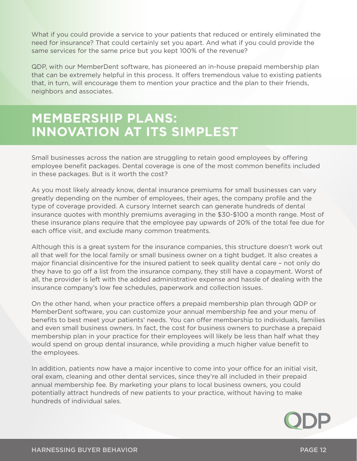What if you could provide a service to your patients that reduced or entirely eliminated the need for insurance? That could certainly set you apart. And what if you could provide the same services for the same price but you kept 100% of the revenue?

QDP, with our MemberDent software, has pioneered an in-house prepaid membership plan that can be extremely helpful in this process. It offers tremendous value to existing patients that, in turn, will encourage them to mention your practice and the plan to their friends, neighbors and associates.

## **MEMBERSHIP PLANS: INNOVATION AT ITS SIMPLEST**

Small businesses across the nation are struggling to retain good employees by offering employee benefit packages. Dental coverage is one of the most common benefits included in these packages. But is it worth the cost?

As you most likely already know, dental insurance premiums for small businesses can vary greatly depending on the number of employees, their ages, the company profile and the type of coverage provided. A cursory Internet search can generate hundreds of dental insurance quotes with monthly premiums averaging in the \$30-\$100 a month range. Most of these insurance plans require that the employee pay upwards of 20% of the total fee due for each office visit, and exclude many common treatments.

Although this is a great system for the insurance companies, this structure doesn't work out all that well for the local family or small business owner on a tight budget. It also creates a major financial disincentive for the insured patient to seek quality dental care – not only do they have to go off a list from the insurance company, they still have a copayment. Worst of all, the provider is left with the added administrative expense and hassle of dealing with the insurance company's low fee schedules, paperwork and collection issues.

On the other hand, when your practice offers a prepaid membership plan through QDP or MemberDent software, you can customize your annual membership fee and your menu of benefits to best meet your patients' needs. You can offer membership to individuals, families and even small business owners. In fact, the cost for business owners to purchase a prepaid membership plan in your practice for their employees will likely be less than half what they would spend on group dental insurance, while providing a much higher value benefit to the employees.

In addition, patients now have a major incentive to come into your office for an initial visit, oral exam, cleaning and other dental services, since they're all included in their prepaid annual membership fee. By marketing your plans to local business owners, you could potentially attract hundreds of new patients to your practice, without having to make hundreds of individual sales.

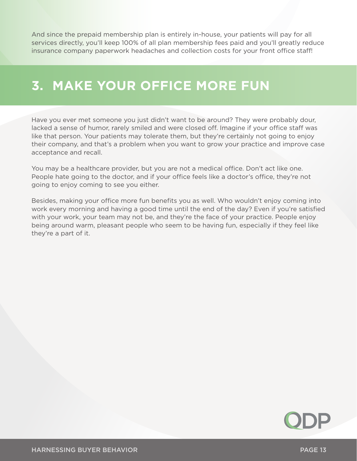And since the prepaid membership plan is entirely in-house, your patients will pay for all services directly, you'll keep 100% of all plan membership fees paid and you'll greatly reduce insurance company paperwork headaches and collection costs for your front office staff!

## **3. MAKE YOUR OFFICE MORE FUN**

Have you ever met someone you just didn't want to be around? They were probably dour, lacked a sense of humor, rarely smiled and were closed off. Imagine if your office staff was like that person. Your patients may tolerate them, but they're certainly not going to enjoy their company, and that's a problem when you want to grow your practice and improve case acceptance and recall.

You may be a healthcare provider, but you are not a medical office. Don't act like one. People hate going to the doctor, and if your office feels like a doctor's office, they're not going to enjoy coming to see you either.

Besides, making your office more fun benefits you as well. Who wouldn't enjoy coming into work every morning and having a good time until the end of the day? Even if you're satisfied with your work, your team may not be, and they're the face of your practice. People enjoy being around warm, pleasant people who seem to be having fun, especially if they feel like they're a part of it.

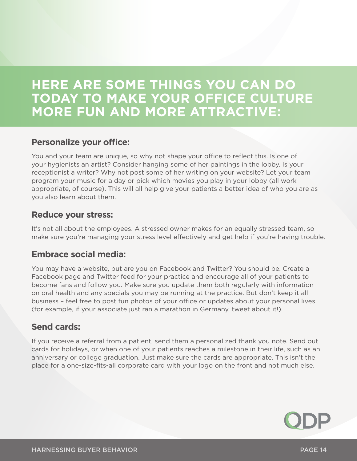## **HERE ARE SOME THINGS YOU CAN DO TODAY TO MAKE YOUR OFFICE CULTURE MORE FUN AND MORE ATTRACTIVE:**

#### **Personalize your office:**

You and your team are unique, so why not shape your office to reflect this. Is one of your hygienists an artist? Consider hanging some of her paintings in the lobby. Is your receptionist a writer? Why not post some of her writing on your website? Let your team program your music for a day or pick which movies you play in your lobby (all work appropriate, of course). This will all help give your patients a better idea of who you are as you also learn about them.

#### **Reduce your stress:**

It's not all about the employees. A stressed owner makes for an equally stressed team, so make sure you're managing your stress level effectively and get help if you're having trouble.

#### **Embrace social media:**

You may have a website, but are you on Facebook and Twitter? You should be. Create a Facebook page and Twitter feed for your practice and encourage all of your patients to become fans and follow you. Make sure you update them both regularly with information on oral health and any specials you may be running at the practice. But don't keep it all business – feel free to post fun photos of your office or updates about your personal lives (for example, if your associate just ran a marathon in Germany, tweet about it!).

#### **Send cards:**

If you receive a referral from a patient, send them a personalized thank you note. Send out cards for holidays, or when one of your patients reaches a milestone in their life, such as an anniversary or college graduation. Just make sure the cards are appropriate. This isn't the place for a one-size-fits-all corporate card with your logo on the front and not much else.

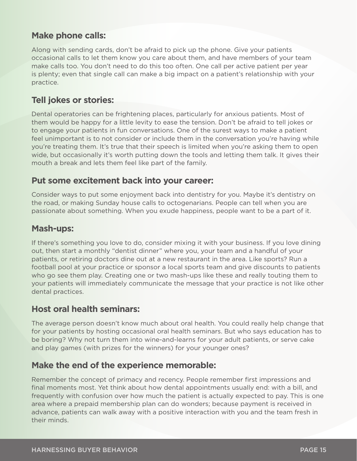#### **Make phone calls:**

Along with sending cards, don't be afraid to pick up the phone. Give your patients occasional calls to let them know you care about them, and have members of your team make calls too. You don't need to do this too often. One call per active patient per year is plenty; even that single call can make a big impact on a patient's relationship with your practice.

#### **Tell jokes or stories:**

Dental operatories can be frightening places, particularly for anxious patients. Most of them would be happy for a little levity to ease the tension. Don't be afraid to tell jokes or to engage your patients in fun conversations. One of the surest ways to make a patient feel unimportant is to not consider or include them in the conversation you're having while you're treating them. It's true that their speech is limited when you're asking them to open wide, but occasionally it's worth putting down the tools and letting them talk. It gives their mouth a break and lets them feel like part of the family.

#### **Put some excitement back into your career:**

Consider ways to put some enjoyment back into dentistry for you. Maybe it's dentistry on the road, or making Sunday house calls to octogenarians. People can tell when you are passionate about something. When you exude happiness, people want to be a part of it.

#### **Mash-ups:**

If there's something you love to do, consider mixing it with your business. If you love dining out, then start a monthly "dentist dinner" where you, your team and a handful of your patients, or retiring doctors dine out at a new restaurant in the area. Like sports? Run a football pool at your practice or sponsor a local sports team and give discounts to patients who go see them play. Creating one or two mash-ups like these and really touting them to your patients will immediately communicate the message that your practice is not like other dental practices.

#### **Host oral health seminars:**

The average person doesn't know much about oral health. You could really help change that for your patients by hosting occasional oral health seminars. But who says education has to be boring? Why not turn them into wine-and-learns for your adult patients, or serve cake and play games (with prizes for the winners) for your younger ones?

#### **Make the end of the experience memorable:**

Remember the concept of primacy and recency. People remember first impressions and final moments most. Yet think about how dental appointments usually end: with a bill, and frequently with confusion over how much the patient is actually expected to pay. This is one area where a prepaid membership plan can do wonders; because payment is received in advance, patients can walk away with a positive interaction with you and the team fresh in their minds.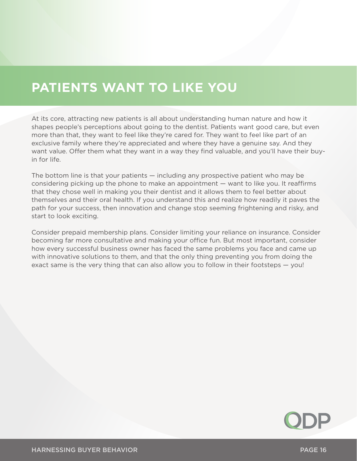## **PATIENTS WANT TO LIKE YOU**

At its core, attracting new patients is all about understanding human nature and how it shapes people's perceptions about going to the dentist. Patients want good care, but even more than that, they want to feel like they're cared for. They want to feel like part of an exclusive family where they're appreciated and where they have a genuine say. And they want value. Offer them what they want in a way they find valuable, and you'll have their buyin for life.

The bottom line is that your patients — including any prospective patient who may be considering picking up the phone to make an appointment — want to like you. It reaffirms that they chose well in making you their dentist and it allows them to feel better about themselves and their oral health. If you understand this and realize how readily it paves the path for your success, then innovation and change stop seeming frightening and risky, and start to look exciting.

Consider prepaid membership plans. Consider limiting your reliance on insurance. Consider becoming far more consultative and making your office fun. But most important, consider how every successful business owner has faced the same problems you face and came up with innovative solutions to them, and that the only thing preventing you from doing the exact same is the very thing that can also allow you to follow in their footsteps — you!